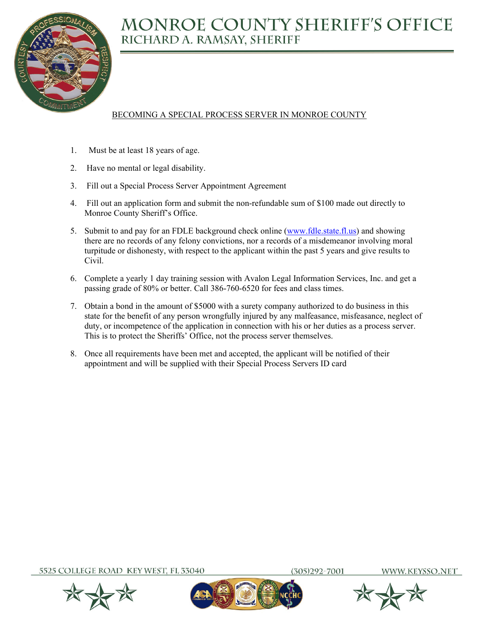

## BECOMING A SPECIAL PROCESS SERVER IN MONROE COUNTY

- 1. Must be at least 18 years of age.
- 2. Have no mental or legal disability.
- 3. Fill out a Special Process Server Appointment Agreement
- 4. Fill out an application form and submit the non-refundable sum of \$100 made out directly to Monroe County Sheriff's Office.
- 5. Submit to and pay for an FDLE background check online (www.fdle.state.fl.us) and showing there are no records of any felony convictions, nor a records of a misdemeanor involving moral turpitude or dishonesty, with respect to the applicant within the past 5 years and give results to Civil.
- 6. Complete a yearly 1 day training session with Avalon Legal Information Services, Inc. and get a passing grade of 80% or better. Call 386-760-6520 for fees and class times.
- 7. Obtain a bond in the amount of \$5000 with a surety company authorized to do business in this state for the benefit of any person wrongfully injured by any malfeasance, misfeasance, neglect of duty, or incompetence of the application in connection with his or her duties as a process server. This is to protect the Sheriffs' Office, not the process server themselves.
- 8. Once all requirements have been met and accepted, the applicant will be notified of their appointment and will be supplied with their Special Process Servers ID card

5525 COLLEGE ROAD KEY WEST, FL 33040

305)292-7001





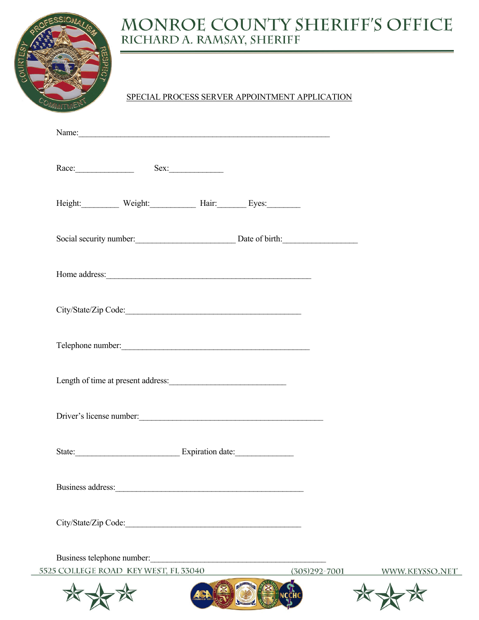

## SPECIAL PROCESS SERVER APPOINTMENT APPLICATION

|                      | Race: Sex:                           |  |                                        |                |
|----------------------|--------------------------------------|--|----------------------------------------|----------------|
|                      | Height: Weight: Hair: Eyes: Eyes:    |  |                                        |                |
|                      |                                      |  | Social security number: Date of birth: |                |
|                      |                                      |  |                                        |                |
|                      |                                      |  |                                        |                |
|                      | Telephone number:                    |  |                                        |                |
|                      |                                      |  |                                        |                |
|                      | Driver's license number:<br><u> </u> |  |                                        |                |
|                      |                                      |  |                                        |                |
| Business address:    |                                      |  |                                        |                |
| City/State/Zip Code: |                                      |  |                                        |                |
|                      | Business telephone number:           |  |                                        |                |
|                      | 5525 COLLEGE ROAD KEY WEST, FL 33040 |  | $(305)292 - 7001$                      | WWW.KEYSSO.NET |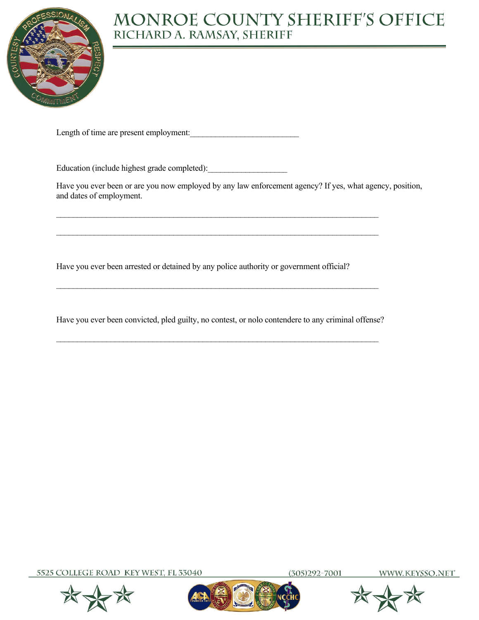

Length of time are present employment:

Education (include highest grade completed):

Have you ever been or are you now employed by any law enforcement agency? If yes, what agency, position, and dates of employment.

Have you ever been arrested or detained by any police authority or government official?

Have you ever been convicted, pled guilty, no contest, or nolo contendere to any criminal offense?

 $\mathcal{L}_\mathcal{L} = \{ \mathcal{L}_\mathcal{L} = \{ \mathcal{L}_\mathcal{L} = \{ \mathcal{L}_\mathcal{L} = \{ \mathcal{L}_\mathcal{L} = \{ \mathcal{L}_\mathcal{L} = \{ \mathcal{L}_\mathcal{L} = \{ \mathcal{L}_\mathcal{L} = \{ \mathcal{L}_\mathcal{L} = \{ \mathcal{L}_\mathcal{L} = \{ \mathcal{L}_\mathcal{L} = \{ \mathcal{L}_\mathcal{L} = \{ \mathcal{L}_\mathcal{L} = \{ \mathcal{L}_\mathcal{L} = \{ \mathcal{L}_\mathcal{$ 

 $\mathcal{L}_\text{max}$  and  $\mathcal{L}_\text{max}$  and  $\mathcal{L}_\text{max}$  and  $\mathcal{L}_\text{max}$  and  $\mathcal{L}_\text{max}$  and  $\mathcal{L}_\text{max}$ 

 $\mathcal{L}_\mathcal{L} = \{ \mathcal{L}_\mathcal{L} = \{ \mathcal{L}_\mathcal{L} = \{ \mathcal{L}_\mathcal{L} = \{ \mathcal{L}_\mathcal{L} = \{ \mathcal{L}_\mathcal{L} = \{ \mathcal{L}_\mathcal{L} = \{ \mathcal{L}_\mathcal{L} = \{ \mathcal{L}_\mathcal{L} = \{ \mathcal{L}_\mathcal{L} = \{ \mathcal{L}_\mathcal{L} = \{ \mathcal{L}_\mathcal{L} = \{ \mathcal{L}_\mathcal{L} = \{ \mathcal{L}_\mathcal{L} = \{ \mathcal{L}_\mathcal{$ 

5525 COLLEGE ROAD KEY WEST, FL 33040







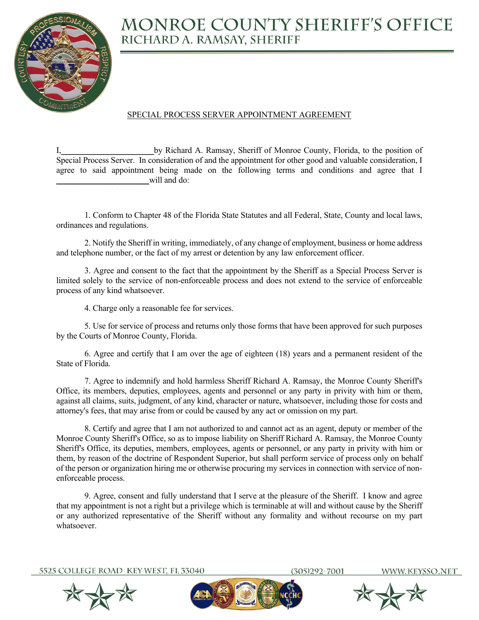

#### SPECIAL PROCESS SERVER APPOINTMENT AGREEMENT

by Richard A. Ramsay, Sheriff of Monroe County, Florida, to the position of Special Process Server. In consideration of and the appointment for other good and valuable consideration, I agree to said appointment being made on the following terms and conditions and agree that I will and do:

 1. Conform to Chapter 48 of the Florida State Statutes and all Federal, State, County and local laws, ordinances and regulations.

 2. Notify the Sheriff in writing, immediately, of any change of employment, business or home address and telephone number, or the fact of my arrest or detention by any law enforcement officer.

 3. Agree and consent to the fact that the appointment by the Sheriff as a Special Process Server is limited solely to the service of non-enforceable process and does not extend to the service of enforceable process of any kind whatsoever.

4. Charge only a reasonable fee for services.

 5. Use for service of process and returns only those forms that have been approved for such purposes by the Courts of Monroe County, Florida.

 6. Agree and certify that I am over the age of eighteen (18) years and a permanent resident of the State of Florida.

 7. Agree to indemnify and hold harmless Sheriff Richard A. Ramsay, the Monroe County Sheriff's Office, its members, deputies, employees, agents and personnel or any party in privity with him or them, against all claims, suits, judgment, of any kind, character or nature, whatsoever, including those for costs and attorney's fees, that may arise from or could be caused by any act or omission on my part.

 8. Certify and agree that I am not authorized to and cannot act as an agent, deputy or member of the Monroe County Sheriff's Office, so as to impose liability on Sheriff Richard A. Ramsay, the Monroe County Sheriff's Office, its deputies, members, employees, agents or personnel, or any party in privity with him or them, by reason of the doctrine of Respondent Superior, but shall perform service of process only on behalf of the person or organization hiring me or otherwise procuring my services in connection with service of nonenforceable process.

 9. Agree, consent and fully understand that I serve at the pleasure of the Sheriff. I know and agree that my appointment is not a right but a privilege which is terminable at will and without cause by the Sheriff or any authorized representative of the Sheriff without any formality and without recourse on my part whatsoever.

5525 COLLEGE ROAD KEY WEST, FL 33040

305)292-7001



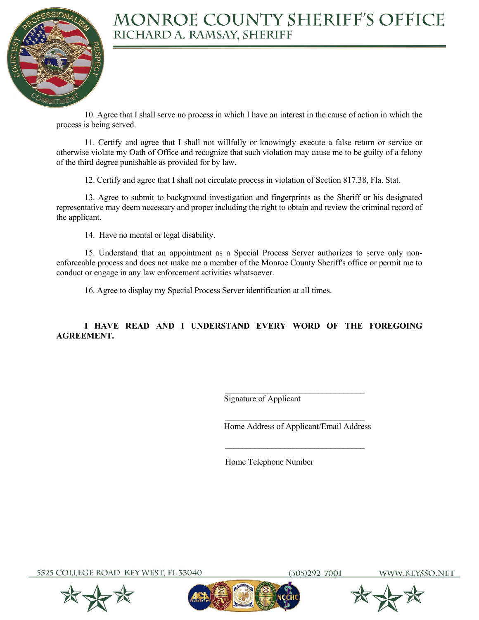

 10. Agree that I shall serve no process in which I have an interest in the cause of action in which the process is being served.

 11. Certify and agree that I shall not willfully or knowingly execute a false return or service or otherwise violate my Oath of Office and recognize that such violation may cause me to be guilty of a felony of the third degree punishable as provided for by law.

12. Certify and agree that I shall not circulate process in violation of Section 817.38, Fla. Stat.

 13. Agree to submit to background investigation and fingerprints as the Sheriff or his designated representative may deem necessary and proper including the right to obtain and review the criminal record of the applicant.

14. Have no mental or legal disability.

 15. Understand that an appointment as a Special Process Server authorizes to serve only nonenforceable process and does not make me a member of the Monroe County Sheriff's office or permit me to conduct or engage in any law enforcement activities whatsoever.

16. Agree to display my Special Process Server identification at all times.

 $\mathcal{L}_\text{max}$  and the contract of the contract of the contract of the contract of the contract of the contract of the contract of the contract of the contract of the contract of the contract of the contract of the contrac

#### **I HAVE READ AND I UNDERSTAND EVERY WORD OF THE FOREGOING AGREEMENT.**

Signature of Applicant

 $\mathcal{L}_\text{max}$  and the contract of the contract of the contract of the contract of the contract of the contract of the contract of the contract of the contract of the contract of the contract of the contract of the contrac Home Address of Applicant/Email Address

Home Telephone Number

5525 COLLEGE ROAD KEY WEST, FL 33040



305)292-7001

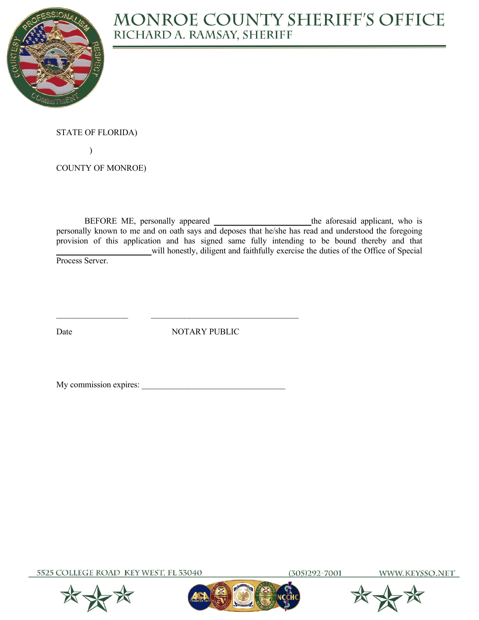

STATE OF FLORIDA)

 $\mathcal{L}$ 

COUNTY OF MONROE)

BEFORE ME, personally appeared \_\_\_\_\_\_\_\_\_\_\_\_\_\_\_\_\_\_\_\_ the aforesaid applicant, who is personally known to me and on oath says and deposes that he/she has read and understood the foregoing provision of this application and has signed same fully intending to be bound thereby and that **\_\_\_\_\_\_\_\_\_\_\_\_\_\_\_\_\_\_\_\_\_\_** will honestly, diligent and faithfully exercise the duties of the Office of Special Process Server.

Date NOTARY PUBLIC

My commission expires:

5525 COLLEGE ROAD KEY WEST, FL 33040

 $(305)292 - 7001$